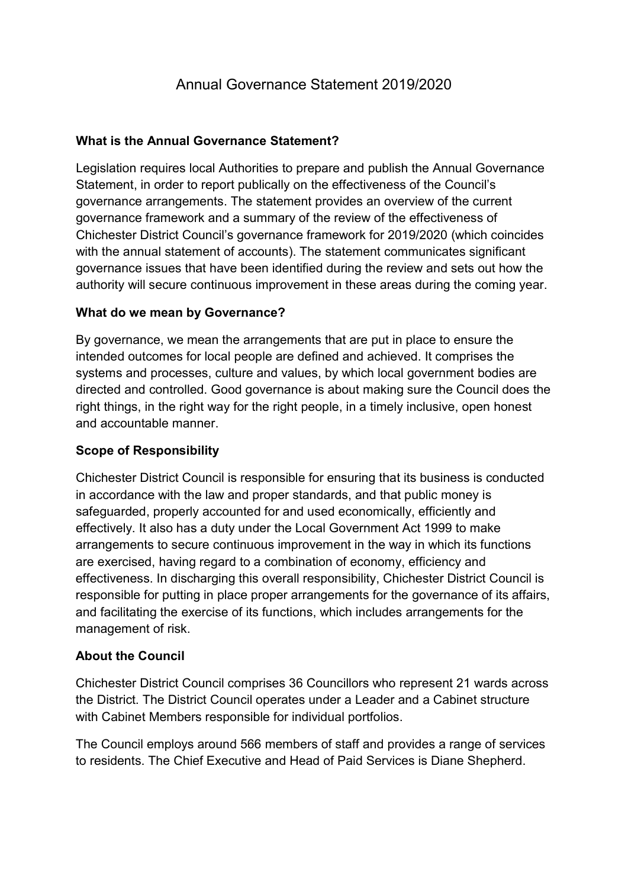# Annual Governance Statement 2019/2020

#### What is the Annual Governance Statement?

 Legislation requires local Authorities to prepare and publish the Annual Governance Statement, in order to report publically on the effectiveness of the Council's governance arrangements. The statement provides an overview of the current governance framework and a summary of the review of the effectiveness of Chichester District Council's governance framework for 2019/2020 (which coincides with the annual statement of accounts). The statement communicates significant governance issues that have been identified during the review and sets out how the authority will secure continuous improvement in these areas during the coming year.

#### What do we mean by Governance?

 By governance, we mean the arrangements that are put in place to ensure the intended outcomes for local people are defined and achieved. It comprises the systems and processes, culture and values, by which local government bodies are directed and controlled. Good governance is about making sure the Council does the right things, in the right way for the right people, in a timely inclusive, open honest and accountable manner.

#### Scope of Responsibility

 Chichester District Council is responsible for ensuring that its business is conducted in accordance with the law and proper standards, and that public money is safeguarded, properly accounted for and used economically, efficiently and effectively. It also has a duty under the Local Government Act 1999 to make arrangements to secure continuous improvement in the way in which its functions are exercised, having regard to a combination of economy, efficiency and effectiveness. In discharging this overall responsibility, Chichester District Council is responsible for putting in place proper arrangements for the governance of its affairs, and facilitating the exercise of its functions, which includes arrangements for the management of risk.

#### About the Council

 Chichester District Council comprises 36 Councillors who represent 21 wards across the District. The District Council operates under a Leader and a Cabinet structure with Cabinet Members responsible for individual portfolios.

 The Council employs around 566 members of staff and provides a range of services to residents. The Chief Executive and Head of Paid Services is Diane Shepherd.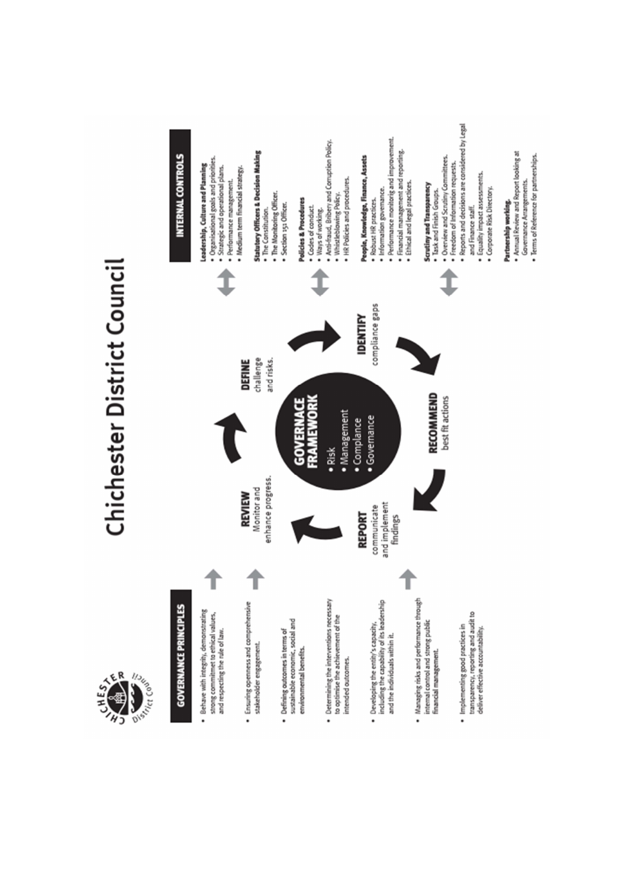

# Chichester District Council



· Annual Review and Report looking at

Governance Arrangements.

· Terms of Reference for partnerships.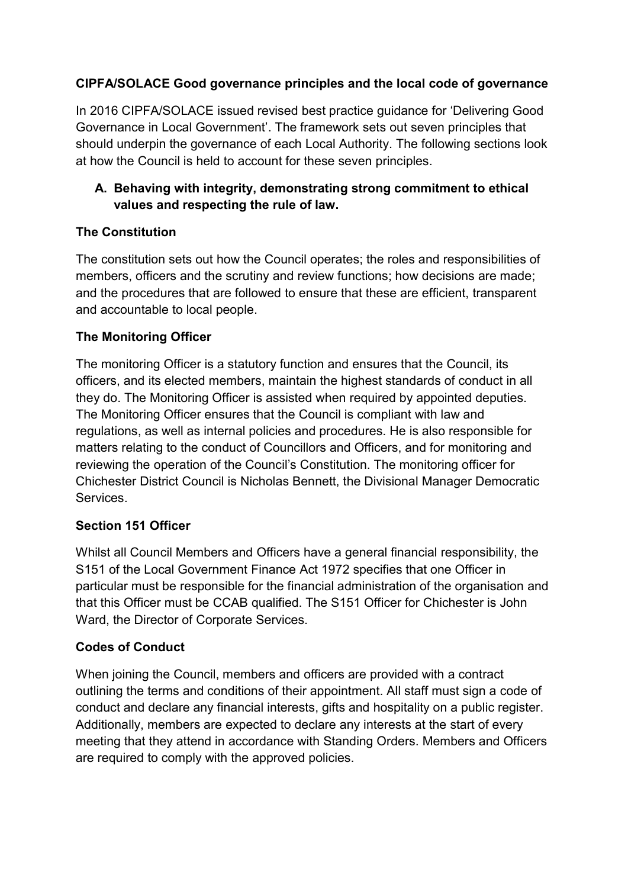#### CIPFA/SOLACE Good governance principles and the local code of governance

 In 2016 CIPFA/SOLACE issued revised best practice guidance for 'Delivering Good Governance in Local Government'. The framework sets out seven principles that should underpin the governance of each Local Authority. The following sections look at how the Council is held to account for these seven principles.

# A. Behaving with integrity, demonstrating strong commitment to ethical values and respecting the rule of law.

# The Constitution

 The constitution sets out how the Council operates; the roles and responsibilities of members, officers and the scrutiny and review functions; how decisions are made; and the procedures that are followed to ensure that these are efficient, transparent and accountable to local people.

#### The Monitoring Officer

 The monitoring Officer is a statutory function and ensures that the Council, its officers, and its elected members, maintain the highest standards of conduct in all they do. The Monitoring Officer is assisted when required by appointed deputies. The Monitoring Officer ensures that the Council is compliant with law and regulations, as well as internal policies and procedures. He is also responsible for matters relating to the conduct of Councillors and Officers, and for monitoring and reviewing the operation of the Council's Constitution. The monitoring officer for Chichester District Council is Nicholas Bennett, the Divisional Manager Democratic **Services** 

#### Section 151 Officer

 Whilst all Council Members and Officers have a general financial responsibility, the S151 of the Local Government Finance Act 1972 specifies that one Officer in particular must be responsible for the financial administration of the organisation and that this Officer must be CCAB qualified. The S151 Officer for Chichester is John Ward, the Director of Corporate Services.

# Codes of Conduct

 When joining the Council, members and officers are provided with a contract outlining the terms and conditions of their appointment. All staff must sign a code of conduct and declare any financial interests, gifts and hospitality on a public register. Additionally, members are expected to declare any interests at the start of every meeting that they attend in accordance with Standing Orders. Members and Officers are required to comply with the approved policies.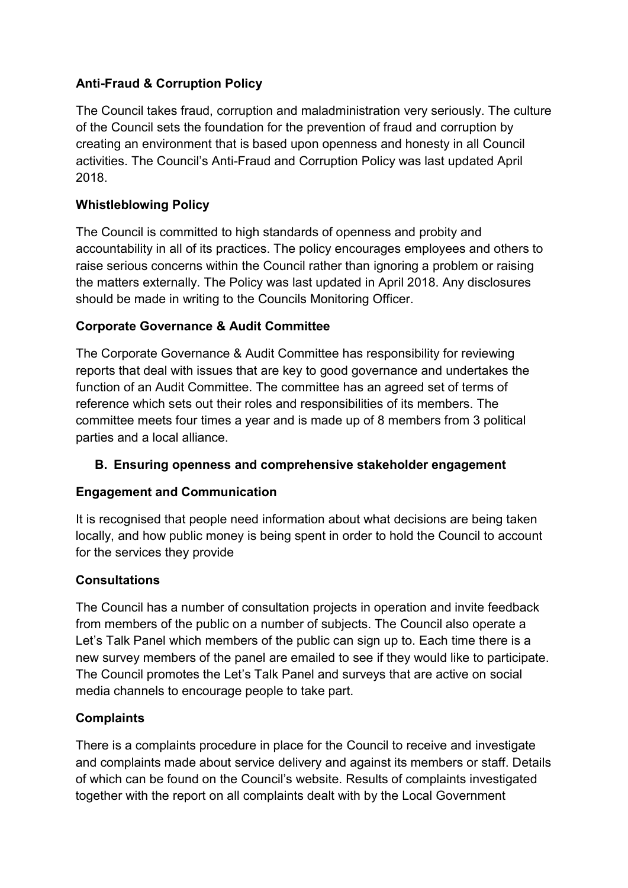# Anti-Fraud & Corruption Policy

 The Council takes fraud, corruption and maladministration very seriously. The culture of the Council sets the foundation for the prevention of fraud and corruption by creating an environment that is based upon openness and honesty in all Council activities. The Council's Anti-Fraud and Corruption Policy was last updated April 2018.

# Whistleblowing Policy

 The Council is committed to high standards of openness and probity and accountability in all of its practices. The policy encourages employees and others to raise serious concerns within the Council rather than ignoring a problem or raising the matters externally. The Policy was last updated in April 2018. Any disclosures should be made in writing to the Councils Monitoring Officer.

# Corporate Governance & Audit Committee

 The Corporate Governance & Audit Committee has responsibility for reviewing reports that deal with issues that are key to good governance and undertakes the function of an Audit Committee. The committee has an agreed set of terms of reference which sets out their roles and responsibilities of its members. The committee meets four times a year and is made up of 8 members from 3 political parties and a local alliance.

# B. Ensuring openness and comprehensive stakeholder engagement

# Engagement and Communication

 It is recognised that people need information about what decisions are being taken locally, and how public money is being spent in order to hold the Council to account for the services they provide

# Consultations

 The Council has a number of consultation projects in operation and invite feedback from members of the public on a number of subjects. The Council also operate a Let's Talk Panel which members of the public can sign up to. Each time there is a new survey members of the panel are emailed to see if they would like to participate. The Council promotes the Let's Talk Panel and surveys that are active on social media channels to encourage people to take part.

#### **Complaints**

 There is a complaints procedure in place for the Council to receive and investigate and complaints made about service delivery and against its members or staff. Details of which can be found on the Council's website. Results of complaints investigated together with the report on all complaints dealt with by the Local Government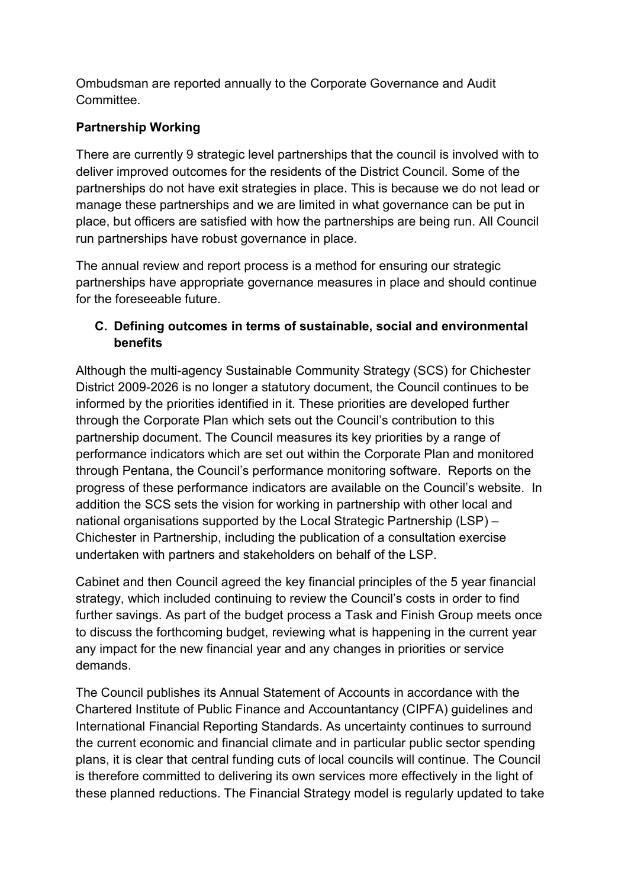Ombudsman are reported annually to the Corporate Governance and Audit Committee.

# Partnership Working

 There are currently 9 strategic level partnerships that the council is involved with to deliver improved outcomes for the residents of the District Council. Some of the partnerships do not have exit strategies in place. This is because we do not lead or manage these partnerships and we are limited in what governance can be put in place, but officers are satisfied with how the partnerships are being run. All Council run partnerships have robust governance in place.

 The annual review and report process is a method for ensuring our strategic partnerships have appropriate governance measures in place and should continue for the foreseeable future.

# C. Defining outcomes in terms of sustainable, social and environmental benefits

 Although the multi-agency Sustainable Community Strategy (SCS) for Chichester District 2009-2026 is no longer a statutory document, the Council continues to be informed by the priorities identified in it. These priorities are developed further through the Corporate Plan which sets out the Council's contribution to this partnership document. The Council measures its key priorities by a range of performance indicators which are set out within the Corporate Plan and monitored through Pentana, the Council's performance monitoring software. Reports on the progress of these performance indicators are available on the Council's website. In addition the SCS sets the vision for working in partnership with other local and national organisations supported by the Local Strategic Partnership (LSP) – Chichester in Partnership, including the publication of a consultation exercise undertaken with partners and stakeholders on behalf of the LSP.

 Cabinet and then Council agreed the key financial principles of the 5 year financial strategy, which included continuing to review the Council's costs in order to find further savings. As part of the budget process a Task and Finish Group meets once to discuss the forthcoming budget, reviewing what is happening in the current year any impact for the new financial year and any changes in priorities or service demands.

 The Council publishes its Annual Statement of Accounts in accordance with the Chartered Institute of Public Finance and Accountantancy (CIPFA) guidelines and International Financial Reporting Standards. As uncertainty continues to surround the current economic and financial climate and in particular public sector spending plans, it is clear that central funding cuts of local councils will continue. The Council is therefore committed to delivering its own services more effectively in the light of these planned reductions. The Financial Strategy model is regularly updated to take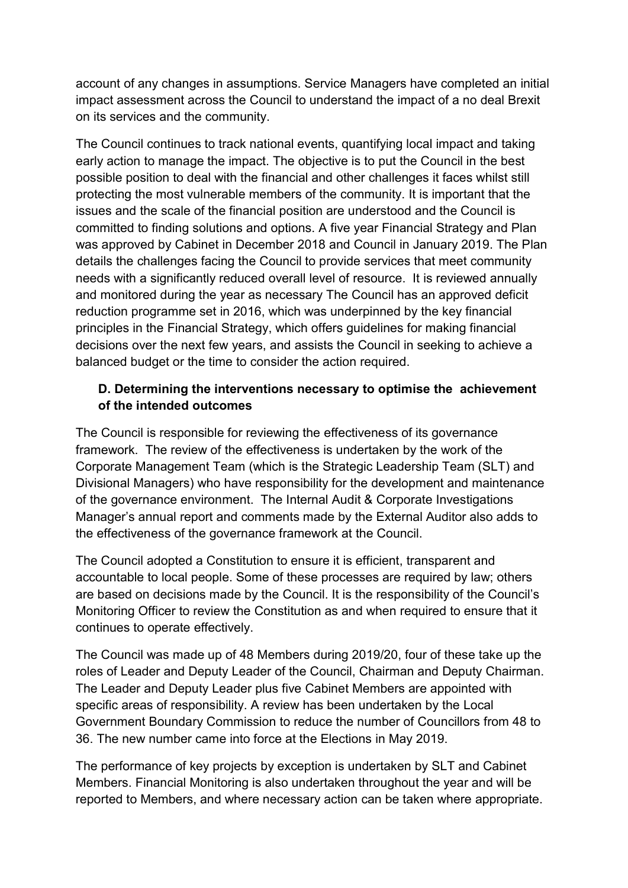account of any changes in assumptions. Service Managers have completed an initial impact assessment across the Council to understand the impact of a no deal Brexit on its services and the community.

 The Council continues to track national events, quantifying local impact and taking early action to manage the impact. The objective is to put the Council in the best possible position to deal with the financial and other challenges it faces whilst still protecting the most vulnerable members of the community. It is important that the issues and the scale of the financial position are understood and the Council is committed to finding solutions and options. A five year Financial Strategy and Plan was approved by Cabinet in December 2018 and Council in January 2019. The Plan details the challenges facing the Council to provide services that meet community needs with a significantly reduced overall level of resource. It is reviewed annually and monitored during the year as necessary The Council has an approved deficit reduction programme set in 2016, which was underpinned by the key financial principles in the Financial Strategy, which offers guidelines for making financial decisions over the next few years, and assists the Council in seeking to achieve a balanced budget or the time to consider the action required.

#### D. Determining the interventions necessary to optimise the achievement of the intended outcomes

 The Council is responsible for reviewing the effectiveness of its governance framework. The review of the effectiveness is undertaken by the work of the Corporate Management Team (which is the Strategic Leadership Team (SLT) and Divisional Managers) who have responsibility for the development and maintenance of the governance environment. The Internal Audit & Corporate Investigations Manager's annual report and comments made by the External Auditor also adds to the effectiveness of the governance framework at the Council.

 The Council adopted a Constitution to ensure it is efficient, transparent and accountable to local people. Some of these processes are required by law; others are based on decisions made by the Council. It is the responsibility of the Council's Monitoring Officer to review the Constitution as and when required to ensure that it continues to operate effectively.

 The Council was made up of 48 Members during 2019/20, four of these take up the roles of Leader and Deputy Leader of the Council, Chairman and Deputy Chairman. The Leader and Deputy Leader plus five Cabinet Members are appointed with specific areas of responsibility. A review has been undertaken by the Local Government Boundary Commission to reduce the number of Councillors from 48 to 36. The new number came into force at the Elections in May 2019.

 The performance of key projects by exception is undertaken by SLT and Cabinet Members. Financial Monitoring is also undertaken throughout the year and will be reported to Members, and where necessary action can be taken where appropriate.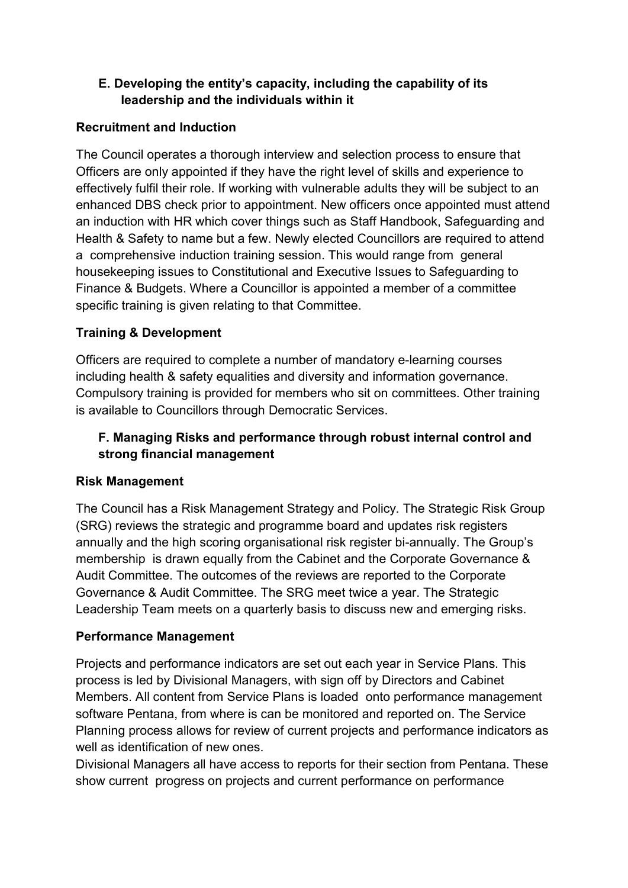# E. Developing the entity's capacity, including the capability of its leadership and the individuals within it

#### Recruitment and Induction

 The Council operates a thorough interview and selection process to ensure that Officers are only appointed if they have the right level of skills and experience to effectively fulfil their role. If working with vulnerable adults they will be subject to an enhanced DBS check prior to appointment. New officers once appointed must attend an induction with HR which cover things such as Staff Handbook, Safeguarding and Health & Safety to name but a few. Newly elected Councillors are required to attend a comprehensive induction training session. This would range from general housekeeping issues to Constitutional and Executive Issues to Safeguarding to Finance & Budgets. Where a Councillor is appointed a member of a committee specific training is given relating to that Committee.

# Training & Development

 Officers are required to complete a number of mandatory e-learning courses including health & safety equalities and diversity and information governance. Compulsory training is provided for members who sit on committees. Other training is available to Councillors through Democratic Services.

# F. Managing Risks and performance through robust internal control and strong financial management

# Risk Management

 The Council has a Risk Management Strategy and Policy. The Strategic Risk Group (SRG) reviews the strategic and programme board and updates risk registers annually and the high scoring organisational risk register bi-annually. The Group's membership is drawn equally from the Cabinet and the Corporate Governance & Audit Committee. The outcomes of the reviews are reported to the Corporate Governance & Audit Committee. The SRG meet twice a year. The Strategic Leadership Team meets on a quarterly basis to discuss new and emerging risks.

#### Performance Management

 Projects and performance indicators are set out each year in Service Plans. This process is led by Divisional Managers, with sign off by Directors and Cabinet Members. All content from Service Plans is loaded onto performance management software Pentana, from where is can be monitored and reported on. The Service Planning process allows for review of current projects and performance indicators as well as identification of new ones.

 Divisional Managers all have access to reports for their section from Pentana. These show current progress on projects and current performance on performance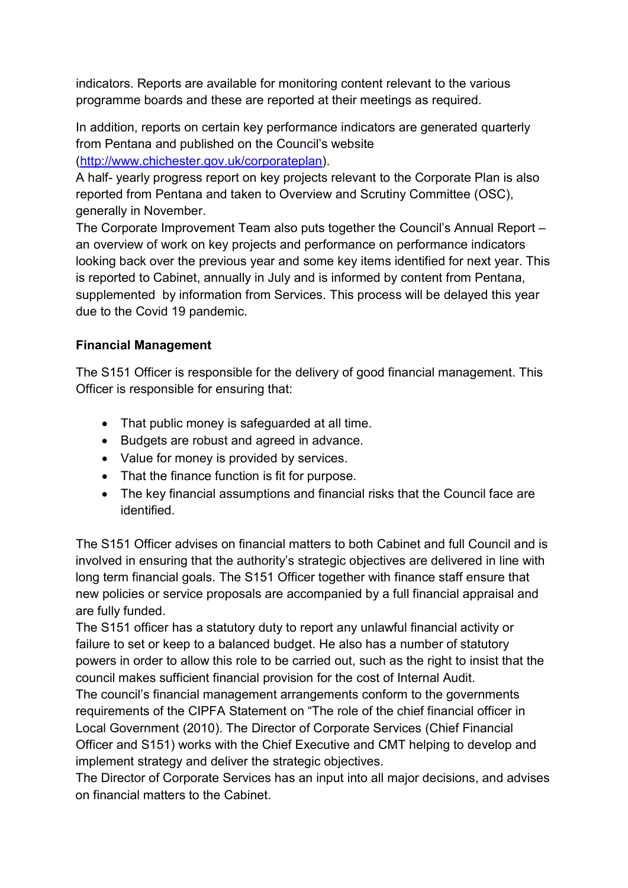indicators. Reports are available for monitoring content relevant to the various programme boards and these are reported at their meetings as required.

 In addition, reports on certain key performance indicators are generated quarterly from Pentana and published on the Council's website ([http://www.chichester.gov.uk/corporateplan\)](http://www.chichester.gov.uk/corporateplan).

 A half- yearly progress report on key projects relevant to the Corporate Plan is also reported from Pentana and taken to Overview and Scrutiny Committee (OSC), generally in November.

 The Corporate Improvement Team also puts together the Council's Annual Report – an overview of work on key projects and performance on performance indicators looking back over the previous year and some key items identified for next year. This is reported to Cabinet, annually in July and is informed by content from Pentana, supplemented by information from Services. This process will be delayed this year due to the Covid 19 pandemic.

#### Financial Management

 The S151 Officer is responsible for the delivery of good financial management. This Officer is responsible for ensuring that:

- That public money is safeguarded at all time.
- Budgets are robust and agreed in advance.
- Value for money is provided by services.
- That the finance function is fit for purpose.
- The key financial assumptions and financial risks that the Council face are identified.

 The S151 Officer advises on financial matters to both Cabinet and full Council and is involved in ensuring that the authority's strategic objectives are delivered in line with long term financial goals. The S151 Officer together with finance staff ensure that new policies or service proposals are accompanied by a full financial appraisal and are fully funded.

 The S151 officer has a statutory duty to report any unlawful financial activity or failure to set or keep to a balanced budget. He also has a number of statutory powers in order to allow this role to be carried out, such as the right to insist that the council makes sufficient financial provision for the cost of Internal Audit.

 The council's financial management arrangements conform to the governments requirements of the CIPFA Statement on "The role of the chief financial officer in Local Government (2010). The Director of Corporate Services (Chief Financial Officer and S151) works with the Chief Executive and CMT helping to develop and implement strategy and deliver the strategic objectives.

 The Director of Corporate Services has an input into all major decisions, and advises on financial matters to the Cabinet.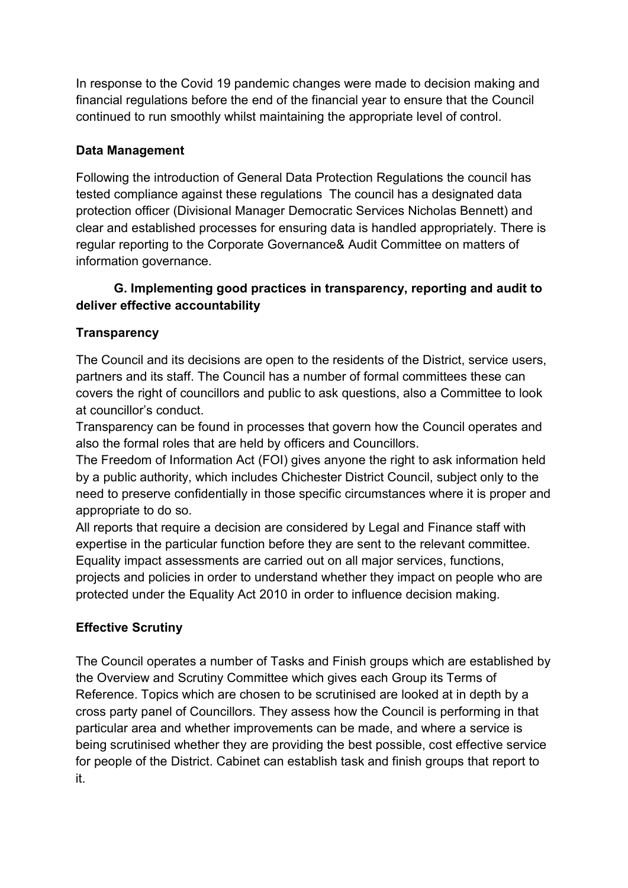In response to the Covid 19 pandemic changes were made to decision making and financial regulations before the end of the financial year to ensure that the Council continued to run smoothly whilst maintaining the appropriate level of control.

#### Data Management

 Following the introduction of General Data Protection Regulations the council has tested compliance against these regulations The council has a designated data protection officer (Divisional Manager Democratic Services Nicholas Bennett) and clear and established processes for ensuring data is handled appropriately. There is regular reporting to the Corporate Governance& Audit Committee on matters of information governance.

#### G. Implementing good practices in transparency, reporting and audit to deliver effective accountability

# **Transparency**

 The Council and its decisions are open to the residents of the District, service users, partners and its staff. The Council has a number of formal committees these can covers the right of councillors and public to ask questions, also a Committee to look at councillor's conduct.

 Transparency can be found in processes that govern how the Council operates and also the formal roles that are held by officers and Councillors.

 The Freedom of Information Act (FOI) gives anyone the right to ask information held by a public authority, which includes Chichester District Council, subject only to the need to preserve confidentially in those specific circumstances where it is proper and appropriate to do so.

 All reports that require a decision are considered by Legal and Finance staff with expertise in the particular function before they are sent to the relevant committee. Equality impact assessments are carried out on all major services, functions, projects and policies in order to understand whether they impact on people who are protected under the Equality Act 2010 in order to influence decision making.

# Effective Scrutiny

 The Council operates a number of Tasks and Finish groups which are established by the Overview and Scrutiny Committee which gives each Group its Terms of Reference. Topics which are chosen to be scrutinised are looked at in depth by a cross party panel of Councillors. They assess how the Council is performing in that particular area and whether improvements can be made, and where a service is being scrutinised whether they are providing the best possible, cost effective service for people of the District. Cabinet can establish task and finish groups that report to it.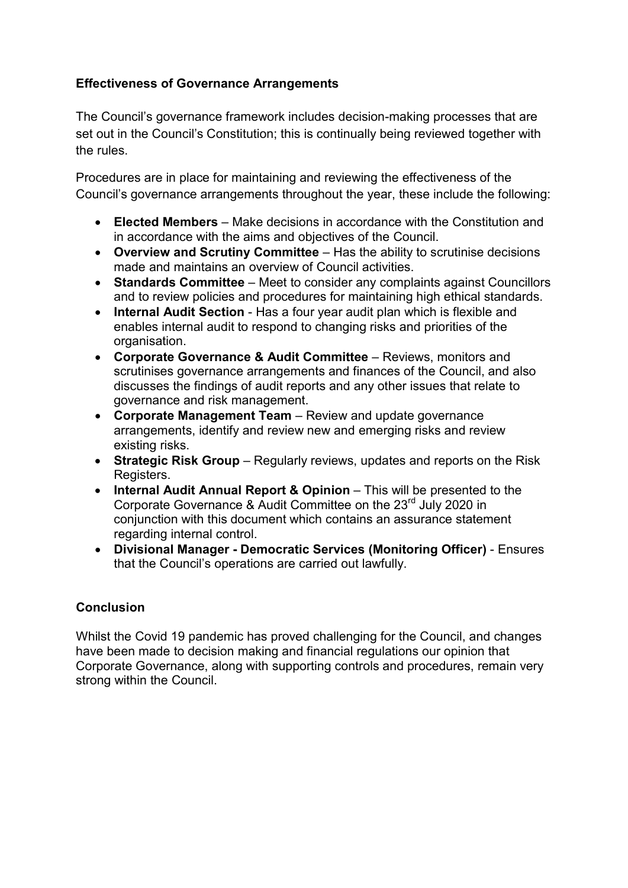#### Effectiveness of Governance Arrangements

 The Council's governance framework includes decision-making processes that are set out in the Council's Constitution; this is continually being reviewed together with the rules.

 Procedures are in place for maintaining and reviewing the effectiveness of the Council's governance arrangements throughout the year, these include the following:

- Elected Members Make decisions in accordance with the Constitution and in accordance with the aims and objectives of the Council.
- Overview and Scrutiny Committee Has the ability to scrutinise decisions made and maintains an overview of Council activities.
- Standards Committee Meet to consider any complaints against Councillors and to review policies and procedures for maintaining high ethical standards.
- Internal Audit Section Has a four year audit plan which is flexible and enables internal audit to respond to changing risks and priorities of the organisation.
- Corporate Governance & Audit Committee Reviews, monitors and scrutinises governance arrangements and finances of the Council, and also discusses the findings of audit reports and any other issues that relate to governance and risk management.
- Corporate Management Team Review and update governance arrangements, identify and review new and emerging risks and review existing risks.
- Strategic Risk Group Regularly reviews, updates and reports on the Risk Registers.
- Internal Audit Annual Report & Opinion This will be presented to the Corporate Governance & Audit Committee on the 23<sup>rd</sup> July 2020 in conjunction with this document which contains an assurance statement regarding internal control.
- Divisional Manager Democratic Services (Monitoring Officer) Ensures that the Council's operations are carried out lawfully.

# Conclusion

 Whilst the Covid 19 pandemic has proved challenging for the Council, and changes have been made to decision making and financial regulations our opinion that Corporate Governance, along with supporting controls and procedures, remain very strong within the Council.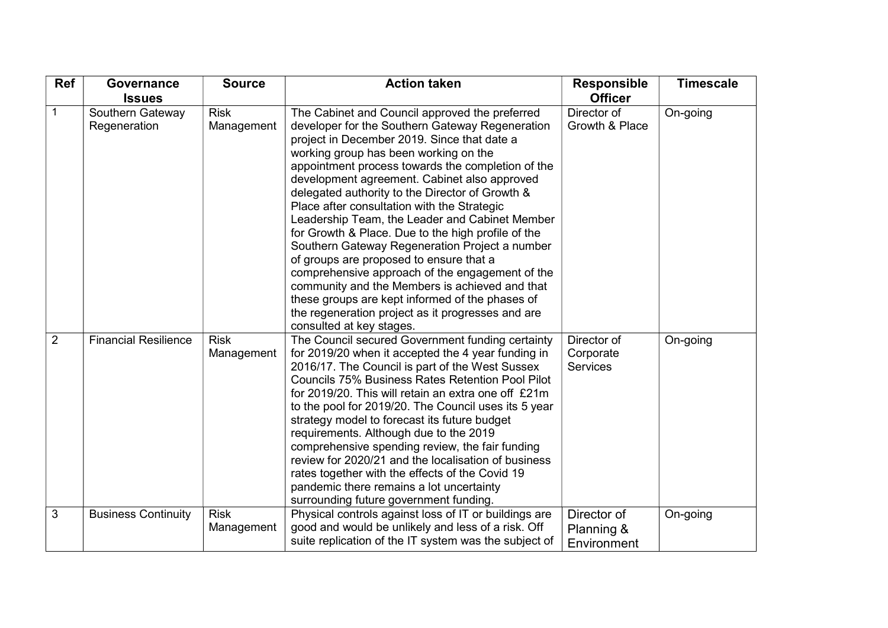| Ref            | Governance                       | <b>Source</b>             | <b>Action taken</b>                                                                                                                                                                                                                                                                                                                                                                                                                                                                                                                                                                                                                                                                                                                                                                                                                            | <b>Responsible</b>                          | <b>Timescale</b> |
|----------------|----------------------------------|---------------------------|------------------------------------------------------------------------------------------------------------------------------------------------------------------------------------------------------------------------------------------------------------------------------------------------------------------------------------------------------------------------------------------------------------------------------------------------------------------------------------------------------------------------------------------------------------------------------------------------------------------------------------------------------------------------------------------------------------------------------------------------------------------------------------------------------------------------------------------------|---------------------------------------------|------------------|
|                | <b>Issues</b>                    |                           |                                                                                                                                                                                                                                                                                                                                                                                                                                                                                                                                                                                                                                                                                                                                                                                                                                                | <b>Officer</b>                              |                  |
| 1              | Southern Gateway<br>Regeneration | <b>Risk</b><br>Management | The Cabinet and Council approved the preferred<br>developer for the Southern Gateway Regeneration<br>project in December 2019. Since that date a<br>working group has been working on the<br>appointment process towards the completion of the<br>development agreement. Cabinet also approved<br>delegated authority to the Director of Growth &<br>Place after consultation with the Strategic<br>Leadership Team, the Leader and Cabinet Member<br>for Growth & Place. Due to the high profile of the<br>Southern Gateway Regeneration Project a number<br>of groups are proposed to ensure that a<br>comprehensive approach of the engagement of the<br>community and the Members is achieved and that<br>these groups are kept informed of the phases of<br>the regeneration project as it progresses and are<br>consulted at key stages. | Director of<br>Growth & Place               | On-going         |
| $\overline{2}$ | <b>Financial Resilience</b>      | <b>Risk</b><br>Management | The Council secured Government funding certainty<br>for 2019/20 when it accepted the 4 year funding in<br>2016/17. The Council is part of the West Sussex<br><b>Councils 75% Business Rates Retention Pool Pilot</b><br>for 2019/20. This will retain an extra one off £21m<br>to the pool for 2019/20. The Council uses its 5 year<br>strategy model to forecast its future budget<br>requirements. Although due to the 2019<br>comprehensive spending review, the fair funding<br>review for 2020/21 and the localisation of business<br>rates together with the effects of the Covid 19<br>pandemic there remains a lot uncertainty<br>surrounding future government funding.                                                                                                                                                               | Director of<br>Corporate<br><b>Services</b> | On-going         |
| 3              | <b>Business Continuity</b>       | <b>Risk</b><br>Management | Physical controls against loss of IT or buildings are<br>good and would be unlikely and less of a risk. Off<br>suite replication of the IT system was the subject of                                                                                                                                                                                                                                                                                                                                                                                                                                                                                                                                                                                                                                                                           | Director of<br>Planning &<br>Environment    | On-going         |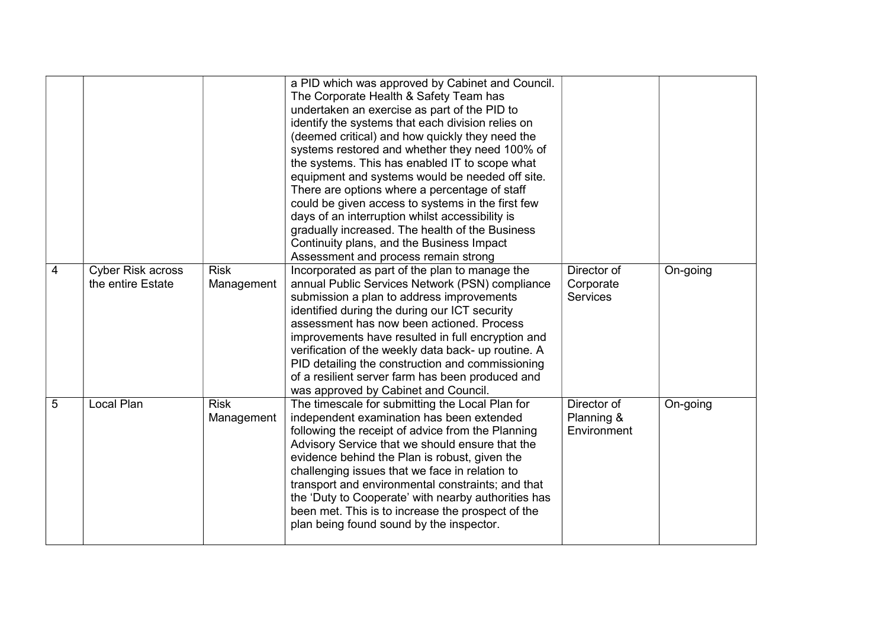|                                             |                           | a PID which was approved by Cabinet and Council.<br>The Corporate Health & Safety Team has<br>undertaken an exercise as part of the PID to<br>identify the systems that each division relies on<br>(deemed critical) and how quickly they need the<br>systems restored and whether they need 100% of<br>the systems. This has enabled IT to scope what<br>equipment and systems would be needed off site.<br>There are options where a percentage of staff<br>could be given access to systems in the first few<br>days of an interruption whilst accessibility is<br>gradually increased. The health of the Business<br>Continuity plans, and the Business Impact<br>Assessment and process remain strong |                                             |          |
|---------------------------------------------|---------------------------|------------------------------------------------------------------------------------------------------------------------------------------------------------------------------------------------------------------------------------------------------------------------------------------------------------------------------------------------------------------------------------------------------------------------------------------------------------------------------------------------------------------------------------------------------------------------------------------------------------------------------------------------------------------------------------------------------------|---------------------------------------------|----------|
| Cyber Risk across<br>4<br>the entire Estate | <b>Risk</b><br>Management | Incorporated as part of the plan to manage the<br>annual Public Services Network (PSN) compliance<br>submission a plan to address improvements<br>identified during the during our ICT security<br>assessment has now been actioned. Process<br>improvements have resulted in full encryption and<br>verification of the weekly data back- up routine. A<br>PID detailing the construction and commissioning<br>of a resilient server farm has been produced and<br>was approved by Cabinet and Council.                                                                                                                                                                                                   | Director of<br>Corporate<br><b>Services</b> | On-going |
| Local Plan<br>5                             | <b>Risk</b><br>Management | The timescale for submitting the Local Plan for<br>independent examination has been extended<br>following the receipt of advice from the Planning<br>Advisory Service that we should ensure that the<br>evidence behind the Plan is robust, given the<br>challenging issues that we face in relation to<br>transport and environmental constraints; and that<br>the 'Duty to Cooperate' with nearby authorities has<br>been met. This is to increase the prospect of the<br>plan being found sound by the inspector.                                                                                                                                                                                       | Director of<br>Planning &<br>Environment    | On-going |